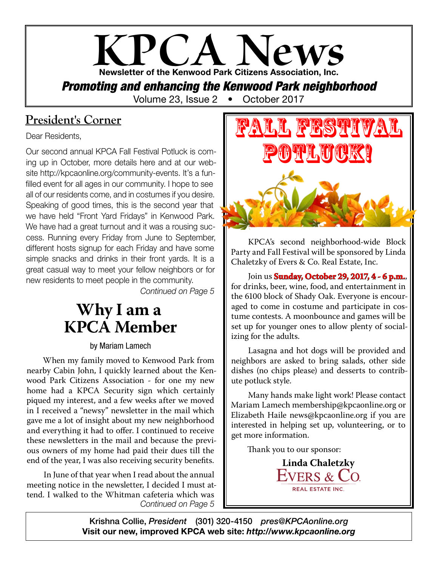

### **President's Corner**

Dear Residents,

Our second annual KPCA Fall Festival Potluck is coming up in October, more details here and at our website http://kpcaonline.org/community-events. It's a funfilled event for all ages in our community. I hope to see all of our residents come, and in costumes if you desire. Speaking of good times, this is the second year that we have held "Front Yard Fridays" in Kenwood Park. We have had a great turnout and it was a rousing success. Running every Friday from June to September, different hosts signup for each Friday and have some simple snacks and drinks in their front yards. It is a great casual way to meet your fellow neighbors or for new residents to meet people in the community.

*Continued on Page 5*

## **Why I am a KPCA Member**

#### by Mariam Lamech

When my family moved to Kenwood Park from nearby Cabin John, I quickly learned about the Kenwood Park Citizens Association - for one my new home had a KPCA Security sign which certainly piqued my interest, and a few weeks after we moved in I received a "newsy" newsletter in the mail which gave me a lot of insight about my new neighborhood and everything it had to offer. I continued to receive these newsletters in the mail and because the previous owners of my home had paid their dues till the end of the year, I was also receiving security benefits.

*Continued on Page 5* In June of that year when I read about the annual meeting notice in the newsletter, I decided I must attend. I walked to the Whitman cafeteria which was



KPCA's second neighborhood-wide Block Party and Fall Festival will be sponsored by Linda Chaletzky of Evers & Co. Real Estate, Inc.

Join us **Sunday, October 29, 2017, 4 - 6 p.m.**, for drinks, beer, wine, food, and entertainment in the 6100 block of Shady Oak. Everyone is encouraged to come in costume and participate in costume contests. A moonbounce and games will be set up for younger ones to allow plenty of socializing for the adults.

Lasagna and hot dogs will be provided and neighbors are asked to bring salads, other side dishes (no chips please) and desserts to contribute potluck style.

Many hands make light work! Please contact Mariam Lamech membership@kpcaonline.org or Elizabeth Haile news@kpcaonline.org if you are interested in helping set up, volunteering, or to get more information.

Thank you to our sponsor:

**Linda Chaletzky REAL ESTATE INC.** 

Krishna Collie, *President* (301) 320-4150 *pres@KPCAonline.org* Visit our new, improved KPCA web site: *http://www.kpcaonline.org*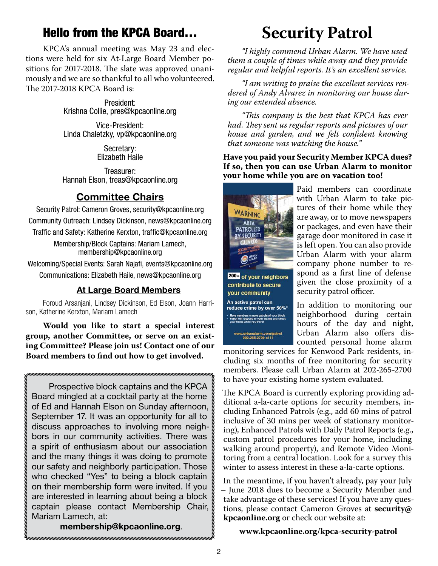### Hello from the KPCA Board…

KPCA's annual meeting was May 23 and elections were held for six At-Large Board Member positions for 2017-2018. The slate was approved unanimously and we are so thankful to all who volunteered. The 2017-2018 KPCA Board is:

> President: Krishna Collie, pres@kpcaonline.org

> Vice-President: Linda Chaletzky, vp@kpcaonline.org

> > Secretary: Elizabeth Haile

Treasurer: Hannah Elson, treas@kpcaonline.org

### Committee Chairs

Security Patrol: Cameron Groves, security@kpcaonline.org Community Outreach: Lindsey Dickinson, news@kpcaonline.org Traffic and Safety: Katherine Kerxton, traffic@kpcaonline.org

> Membership/Block Captains: Mariam Lamech, membership@kpcaonline.org

Welcoming/Special Events: Sarah Najafi, events@kpcaonline.org Communications: Elizabeth Haile, news@kpcaonline.org

#### At Large Board Members

Foroud Arsanjani, Lindsey Dickinson, Ed Elson, Joann Harrison, Katherine Kerxton, Mariam Lamech

**Would you like to start a special interest group, another Committee, or serve on an existing Committee? Please join us! Contact one of our Board members to find out how to get involved.**

Prospective block captains and the KPCA Board mingled at a cocktail party at the home of Ed and Hannah Elson on Sunday afternoon, September 17. It was an opportunity for all to discuss approaches to involving more neighbors in our community activities. There was a spirit of enthusiasm about our association and the many things it was doing to promote our safety and neighborly participation. Those who checked "Yes" to being a block captain on their membership form were invited. If you are interested in learning about being a block captain please contact Membership Chair, Mariam Lamech, at:

membership@kpcaonline.org.

## **Security Patrol**

*"I highly commend Urban Alarm. We have used them a couple of times while away and they provide regular and helpful reports. It's an excellent service.*

*"I am writing to praise the excellent services rendered of Andy Alvarez in monitoring our house during our extended absence.*

*"This company is the best that KPCA has ever had. They sent us regular reports and pictures of our house and garden, and we felt confident knowing that someone was watching the house."*

**Have you paid your Security Member KPCA dues? If so, then you can use Urban Alarm to monitor your home while you are on vacation too!**



200+ of your neighbors contribute to secure your community An active patrol can reduce crime by over 50%\* urbanalarm.com/patrol<br>202.265.2700 x111

Paid members can coordinate with Urban Alarm to take pictures of their home while they are away, or to move newspapers or packages, and even have their garage door monitored in case it is left open. You can also provide Urban Alarm with your alarm company phone number to respond as a first line of defense given the close proximity of a security patrol officer.

In addition to monitoring our neighborhood during certain hours of the day and night, Urban Alarm also offers discounted personal home alarm

monitoring services for Kenwood Park residents, including six months of free monitoring for security members. Please call Urban Alarm at 202-265-2700 to have your existing home system evaluated.

The KPCA Board is currently exploring providing additional a-la-carte options for security members, including Enhanced Patrols (e.g., add 60 mins of patrol inclusive of 30 mins per week of stationary monitoring), Enhanced Patrols with Daily Patrol Reports (e.g., custom patrol procedures for your home, including walking around property), and Remote Video Monitoring from a central location. Look for a survey this winter to assess interest in these a-la-carte options.

In the meantime, if you haven't already, pay your July – June 2018 dues to become a Security Member and take advantage of these services! If you have any questions, please contact Cameron Groves at **security@ kpcaonline.org** or check our website at:

**www.kpcaonline.org/kpca-security-patrol**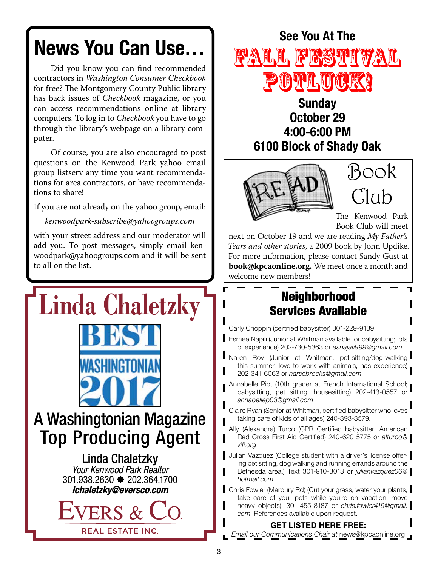# News You Can Use…

Did you know you can find recommended contractors in *Washington Consumer Checkbook* for free? The Montgomery County Public library has back issues of *Checkbook* magazine, or you can access recommendations online at library computers. To log in to *Checkbook* you have to go through the library's webpage on a library computer.

Of course, you are also encouraged to post questions on the Kenwood Park yahoo email group listserv any time you want recommendations for area contractors, or have recommendations to share!

If you are not already on the yahoo group, email:

*kenwoodpark-subscribe@yahoogroups.com*

with your street address and our moderator will add you. To post messages, simply email kenwoodpark@yahoogroups.com and it will be sent to all on the list.





### **Sunday** October 29 4:00-6:00 PM 6100 Block of Shady Oak



Book  $C1$ 

The Kenwood Park Book Club will meet

next on October 19 and we are reading *My Father's Tears and other stories*, a 2009 book by John Updike. For more information, please contact Sandy Gust at **book@kpcaonline.org.** We meet once a month and welcome new members!

### Neighborhood Services Available

Carly Choppin (certified babysitter) 301-229-9139

- **Esmee Najafi (Junior at Whitman available for babysitting; lots** of experience) 202-730-5363 or *esnajafi999@gmail.com*
- **Naren Roy (Junior at Whitman; pet-sitting/dog-walking** this summer, love to work with animals, has experience) 202-341-6063 or *narsebrocks@gmail.com*
- Annabelle Piot (10th grader at French International School; babysitting, pet sitting, housesitting) 202-413-0557 or *annabellep03@gmail.com*
- Claire Ryan (Senior at Whitman, certified babysitter who loves taking care of kids of all ages) 240-393-3579.
- Ally (Alexandra) Turco (CPR Certified babysitter; American Red Cross First Aid Certified) 240-620 5775 or *alturco@ vifi.org*

Julian Vazquez (College student with a driver's license offering pet sitting, dog walking and running errands around the Bethesda area.) Text 301-910-3013 or *julianvazquez06@ hotmail.com*

Chris Fowler (Marbury Rd) (Cut your grass, water your plants, take care of your pets while you're on vacation, move heavy objects). 301-455-8187 or *chris.fowler419@gmail. com*. References available upon request.

#### GET LISTED HERE FREE:

*Email our Communications Chair at* news@kpcaonline.org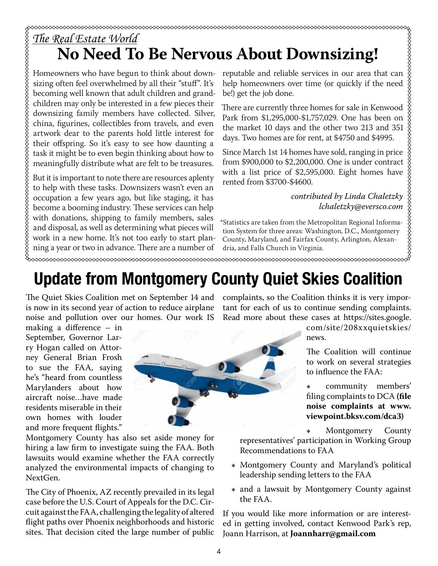## *The Real Estate World* **No Need To Be Nervous About Downsizing!**

Homeowners who have begun to think about downsizing often feel overwhelmed by all their "stuff". It's becoming well known that adult children and grandchildren may only be interested in a few pieces their downsizing family members have collected. Silver, china, figurines, collectibles from travels, and even artwork dear to the parents hold little interest for their offspring. So it's easy to see how daunting a task it might be to even begin thinking about how to meaningfully distribute what are felt to be treasures.

But it is important to note there are resources aplenty to help with these tasks. Downsizers wasn't even an occupation a few years ago, but like staging, it has become a booming industry. These services can help with donations, shipping to family members, sales and disposal, as well as determining what pieces will work in a new home. It's not too early to start planning a year or two in advance. There are a number of

reputable and reliable services in our area that can help homeowners over time (or quickly if the need be!) get the job done.

There are currently three homes for sale in Kenwood Park from \$1,295,000-\$1,757,029. One has been on the market 10 days and the other two 213 and 351 days. Two homes are for rent, at \$4750 and \$4995.

Since March 1st 14 homes have sold, ranging in price from \$900,000 to \$2,200,000. One is under contract with a list price of \$2,595,000. Eight homes have rented from \$3700-\$4600.

> *contributed by Linda Chaletzky lchaletzky@eversco.com*

\*Statistics are taken from the Metropolitan Regional Information System for three areas: Washington, D.C., Montgomery County, Maryland, and Fairfax County, Arlington, Alexandria, and Falls Church in Virginia.

 $\infty$ 

## Update from Montgomery County Quiet Skies Coalition

The Quiet Skies Coalition met on September 14 and is now in its second year of action to reduce airplane noise and pollution over our homes. Our work IS

making a difference – in September, Governor Larry Hogan called on Attorney General Brian Frosh to sue the FAA, saying he's "heard from countless Marylanders about how aircraft noise…have made residents miserable in their own homes with louder and more frequent flights."



Montgomery County has also set aside money for hiring a law firm to investigate suing the FAA. Both lawsuits would examine whether the FAA correctly analyzed the environmental impacts of changing to NextGen.

The City of Phoenix, AZ recently prevailed in its legal case before the U.S. Court of Appeals for the D.C. Circuit against the FAA, challenging the legality of altered flight paths over Phoenix neighborhoods and historic sites. That decision cited the large number of public

complaints, so the Coalition thinks it is very important for each of us to continue sending complaints. Read more about these cases at https://sites.google.

> com/site/208xxquietskies/ news.

The Coalition will continue to work on several strategies to influence the FAA:

community members' filing complaints to DCA **(file noise complaints at www. viewpoint.bksv.com/dca3)**

Montgomery County

representatives' participation in Working Group Recommendations to FAA

- Ε Montgomery County and Maryland's political leadership sending letters to the FAA
- and a lawsuit by Montgomery County against the FAA.

If you would like more information or are interested in getting involved, contact Kenwood Park's rep, Joann Harrison, at **Joannharr@gmail.com**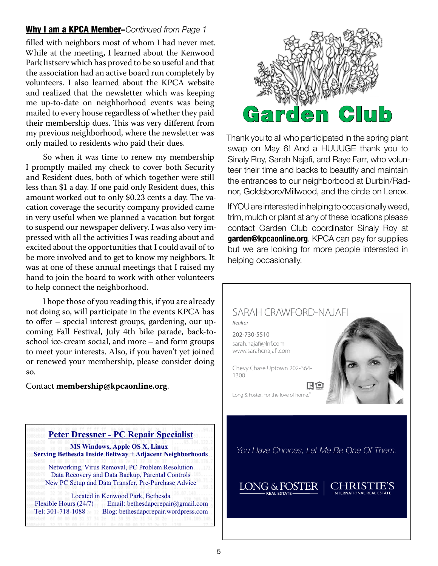#### Why I am a KPCA Member–*Continued from Page 1*

filled with neighbors most of whom I had never met. While at the meeting, I learned about the Kenwood Park listserv which has proved to be so useful and that the association had an active board run completely by volunteers. I also learned about the KPCA website and realized that the newsletter which was keeping me up-to-date on neighborhood events was being mailed to every house regardless of whether they paid their membership dues. This was very different from my previous neighborhood, where the newsletter was only mailed to residents who paid their dues.

So when it was time to renew my membership I promptly mailed my check to cover both Security and Resident dues, both of which together were still less than \$1 a day. If one paid only Resident dues, this amount worked out to only \$0.23 cents a day. The vacation coverage the security company provided came in very useful when we planned a vacation but forgot to suspend our newspaper delivery. I was also very impressed with all the activities I was reading about and excited about the opportunities that I could avail of to be more involved and to get to know my neighbors. It was at one of these annual meetings that I raised my hand to join the board to work with other volunteers to help connect the neighborhood.

I hope those of you reading this, if you are already not doing so, will participate in the events KPCA has to offer – special interest groups, gardening, our upcoming Fall Festival, July 4th bike parade, back-toschool ice-cream social, and more – and form groups to meet your interests. Also, if you haven't yet joined or renewed your membership, please consider doing so.

#### Contact **membership@kpcaonline.org**.



Tel: 301-718-1088 Blog: bethesdapcrepair.wordpress.com

Garden Club

Thank you to all who participated in the spring plant swap on May 6! And a HUUUGE thank you to Sinaly Roy, Sarah Najafi, and Raye Farr, who volunteer their time and backs to beautify and maintain the entrances to our neighborbood at Durbin/Radnor, Goldsboro/Millwood, and the circle on Lenox.

If YOU are interested in helping to occasionally weed, trim, mulch or plant at any of these locations please contact Garden Club coordinator Sinaly Roy at garden@kpcaonline.org. KPCA can pay for supplies but we are looking for more people interested in helping occasionally.



*You Have Choices, Let Me Be One Of Them.*

CHRIST **INTERNATIONAL REAL ESTAT** 

LONG & FOSTER

5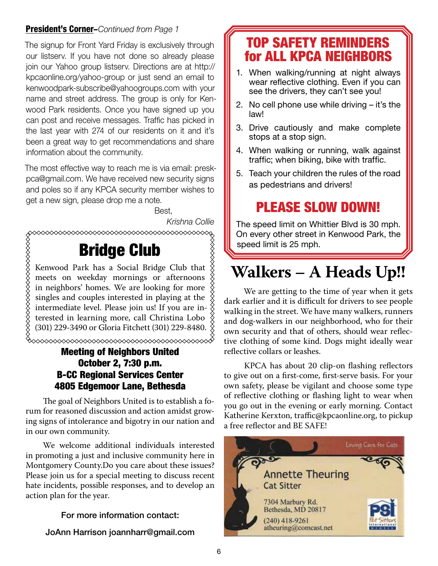#### President's Corner–*Continued from Page 1*

The signup for Front Yard Friday is exclusively through our listserv. If you have not done so already please join our Yahoo group listserv. Directions are at http:// kpcaonline.org/yahoo-group or just send an email to kenwoodpark-subscribe@yahoogroups.com with your name and street address. The group is only for Kenwood Park residents. Once you have signed up you can post and receive messages. Traffic has picked in the last year with 274 of our residents on it and it's been a great way to get recommendations and share information about the community.

The most effective way to reach me is via email: preskpca@gmail.com. We have received new security signs and poles so if any KPCA security member wishes to get a new sign, please drop me a note.

en de la contrata de la proponecidad de la contrata de la contrata de la contrata de la contrata de la contrat

*Krishna Collie*

## Bridge Club

Kenwood Park has a Social Bridge Club that meets on weekday mornings or afternoons in neighbors' homes. We are looking for more singles and couples interested in playing at the intermediate level. Please join us! If you are interested in learning more, call Christina Lobo (301) 229-3490 or Gloria Fitchett (301) 229-8480.

### Meeting of Neighbors United October 2, 7:30 p.m. B-CC Regional Services Center 4805 Edgemoor Lane, Bethesda

The goal of Neighbors United is to establish a forum for reasoned discussion and action amidst growing signs of intolerance and bigotry in our nation and in our own community.

We welcome additional individuals interested in promoting a just and inclusive community here in Montgomery County.Do you care about these issues? Please join us for a special meeting to discuss recent hate incidents, possible responses, and to develop an action plan for the year.

#### For more information contact:

#### JoAnn Harrison joannharr@gmail.com

### TOP SAFETY REMINDERS for ALL KPCA NEIGHBORS

- 1. When walking/running at night always wear reflective clothing. Even if you can see the drivers, they can't see you!
- 2. No cell phone use while driving it's the law!
- 3. Drive cautiously and make complete stops at a stop sign.
- 4. When walking or running, walk against traffic; when biking, bike with traffic.
- 5. Teach your children the rules of the road as pedestrians and drivers!

### PLEASE SLOW DOWN!

The speed limit on Whittier Blvd is 30 mph. On every other street in Kenwood Park, the speed limit is 25 mph.

## **Walkers – A Heads Up!!**

 We are getting to the time of year when it gets dark earlier and it is difficult for drivers to see people walking in the street. We have many walkers, runners and dog-walkers in our neighborhood, who for their own security and that of others, should wear reflective clothing of some kind. Dogs might ideally wear reflective collars or leashes.

 KPCA has about 20 clip-on flashing reflectors to give out on a first-come, first-serve basis. For your own safety, please be vigilant and choose some type of reflective clothing or flashing light to wear when you go out in the evening or early morning. Contact Katherine Kerxton, traffic@kpcaonline.org, to pickup a free reflector and BE SAFE!

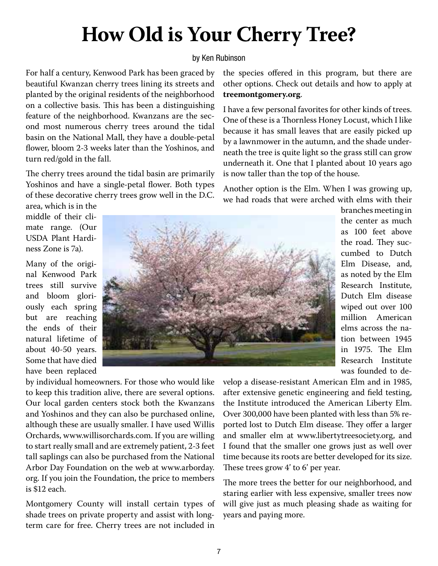## **How Old is Your Cherry Tree?**

#### by Ken Rubinson

For half a century, Kenwood Park has been graced by beautiful Kwanzan cherry trees lining its streets and planted by the original residents of the neighborhood on a collective basis. This has been a distinguishing feature of the neighborhood. Kwanzans are the second most numerous cherry trees around the tidal basin on the National Mall, they have a double-petal flower, bloom 2-3 weeks later than the Yoshinos, and turn red/gold in the fall.

The cherry trees around the tidal basin are primarily Yoshinos and have a single-petal flower. Both types of these decorative cherry trees grow well in the D.C.

area, which is in the middle of their climate range. (Our USDA Plant Hardiness Zone is 7a).

Many of the original Kenwood Park trees still survive and bloom gloriously each spring but are reaching the ends of their natural lifetime of about 40-50 years. Some that have died have been replaced

by individual homeowners. For those who would like to keep this tradition alive, there are several options. Our local garden centers stock both the Kwanzans and Yoshinos and they can also be purchased online, although these are usually smaller. I have used Willis Orchards, www.willisorchards.com. If you are willing to start really small and are extremely patient, 2-3 feet tall saplings can also be purchased from the National Arbor Day Foundation on the web at www.arborday. org. If you join the Foundation, the price to members is \$12 each.

Montgomery County will install certain types of shade trees on private property and assist with longterm care for free. Cherry trees are not included in

the species offered in this program, but there are other options. Check out details and how to apply at **treemontgomery.org**.

I have a few personal favorites for other kinds of trees. One of these is a Thornless Honey Locust, which I like because it has small leaves that are easily picked up by a lawnmower in the autumn, and the shade underneath the tree is quite light so the grass still can grow underneath it. One that I planted about 10 years ago is now taller than the top of the house.

Another option is the Elm. When I was growing up, we had roads that were arched with elms with their

> branches meeting in the center as much as 100 feet above the road. They succumbed to Dutch Elm Disease, and, as noted by the Elm Research Institute, Dutch Elm disease wiped out over 100 million American elms across the nation between 1945 in 1975. The Elm Research Institute was founded to de-

velop a disease-resistant American Elm and in 1985, after extensive genetic engineering and field testing, the Institute introduced the American Liberty Elm. Over 300,000 have been planted with less than 5% reported lost to Dutch Elm disease. They offer a larger and smaller elm at www.libertytreesociety.org, and I found that the smaller one grows just as well over time because its roots are better developed for its size. These trees grow 4' to 6' per year.

The more trees the better for our neighborhood, and staring earlier with less expensive, smaller trees now will give just as much pleasing shade as waiting for years and paying more.